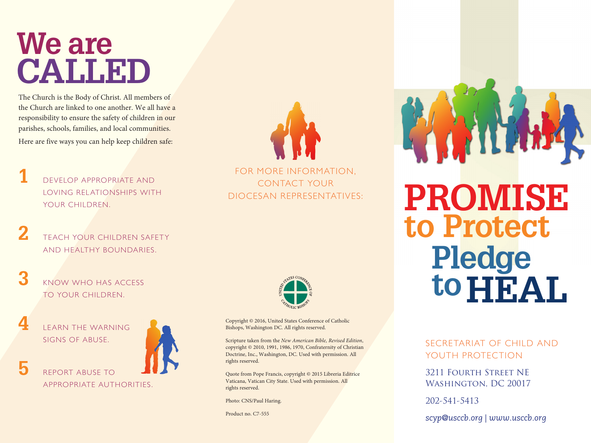#### **We are CALLED**

The Church is the Body of Christ. All members of the Church are linked to one another. We all have a responsibility to ensure the safety of children in our parishes, schools, families, and local communities. Here are five ways you can help keep children safe:

**1** DEVELOP APPROPRIATE AND LOVING RELATIONSHIPS WITH YOUR CHILDREN.

- **2** TEACH YOUR CHILDREN SAFETY AND HEALTHY BOUNDARIES.
- **3** KNOW WHO HAS ACCESS TO YOUR CHILDREN.

**4** LEARN THE WARNING SIGNS OF ABUSE.

**5** REPORT ABUSE TO





FOR MORE INFORMATION, CONTACT YOUR DIOCESAN REPRESENTATIVES:



Copyright © 2016, United States Conference of Catholic Bishops, Washington DC. All rights reserved.

Scripture taken from the *New American Bible, Revised Edition*, copyright © 2010, 1991, 1986, 1970, Confraternity of Christian Doctrine, Inc., Washington, DC. Used with permission. All rights reserved.

Quote from Pope Francis, copyright © 2015 Libreria Editrice Vaticana, Vatican City State. Used with permission. All rights reserved.

Photo: CNS/Paul Haring.

Product no. C7-555

# **PROMISE to Protect Pledge** to **HEAL**.

SECRETARIAT OF CHILD AND YOUTH PROTECTION

3211 Fourth Street NE Washington, DC 20017

202-541-5413

*scyp@usccb.org | www.usccb.org*